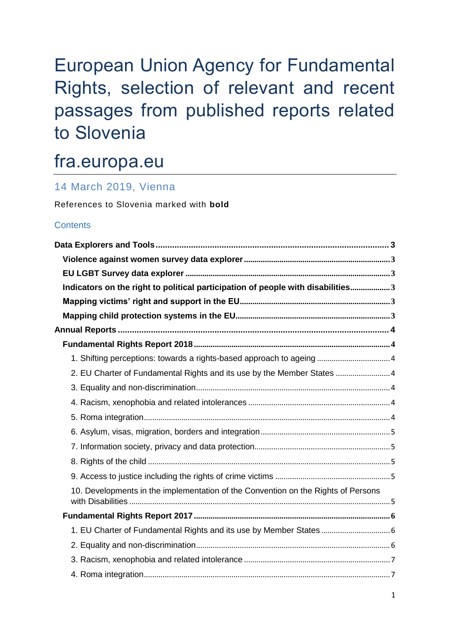# European Union Agency for Fundamental Rights, selection of relevant and recent passages from published reports related to Slovenia

# fra.europa.eu

# 14 March 2019, Vienna

References to Slovenia marked with **bold**

# **Contents**

| Indicators on the right to political participation of people with disabilities3   |  |
|-----------------------------------------------------------------------------------|--|
|                                                                                   |  |
|                                                                                   |  |
|                                                                                   |  |
|                                                                                   |  |
| 1. Shifting perceptions: towards a rights-based approach to ageing  4             |  |
| 2. EU Charter of Fundamental Rights and its use by the Member States  4           |  |
|                                                                                   |  |
|                                                                                   |  |
|                                                                                   |  |
|                                                                                   |  |
|                                                                                   |  |
|                                                                                   |  |
|                                                                                   |  |
| 10. Developments in the implementation of the Convention on the Rights of Persons |  |
|                                                                                   |  |
|                                                                                   |  |
|                                                                                   |  |
|                                                                                   |  |
|                                                                                   |  |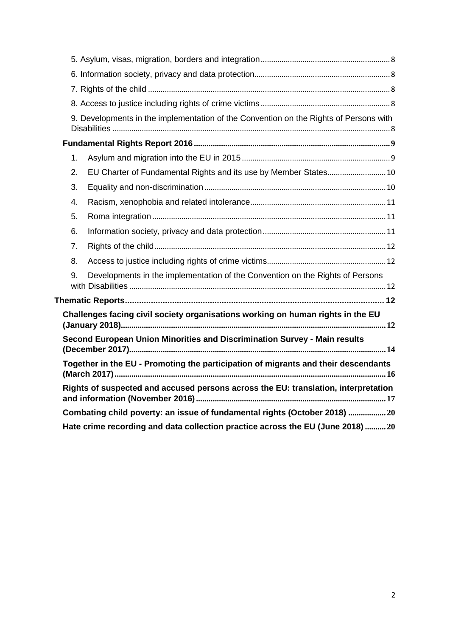|                                                                                    | 9. Developments in the implementation of the Convention on the Rights of Persons with |  |  |
|------------------------------------------------------------------------------------|---------------------------------------------------------------------------------------|--|--|
|                                                                                    |                                                                                       |  |  |
| 1.                                                                                 |                                                                                       |  |  |
| 2.                                                                                 | EU Charter of Fundamental Rights and its use by Member States 10                      |  |  |
| 3.                                                                                 |                                                                                       |  |  |
| 4.                                                                                 |                                                                                       |  |  |
| 5.                                                                                 |                                                                                       |  |  |
| 6.                                                                                 |                                                                                       |  |  |
| 7.                                                                                 |                                                                                       |  |  |
| 8.                                                                                 |                                                                                       |  |  |
| 9.                                                                                 | Developments in the implementation of the Convention on the Rights of Persons         |  |  |
|                                                                                    |                                                                                       |  |  |
| Challenges facing civil society organisations working on human rights in the EU    |                                                                                       |  |  |
| Second European Union Minorities and Discrimination Survey - Main results          |                                                                                       |  |  |
| Together in the EU - Promoting the participation of migrants and their descendants |                                                                                       |  |  |
| Rights of suspected and accused persons across the EU: translation, interpretation |                                                                                       |  |  |
| Combating child poverty: an issue of fundamental rights (October 2018) 20          |                                                                                       |  |  |
|                                                                                    | Hate crime recording and data collection practice across the EU (June 2018)20         |  |  |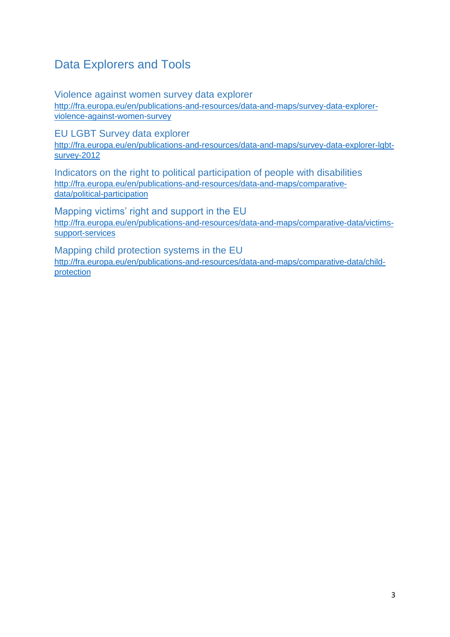# <span id="page-2-0"></span>Data Explorers and Tools

<span id="page-2-1"></span>Violence against women survey data explorer [http://fra.europa.eu/en/publications-and-resources/data-and-maps/survey-data-explorer](http://fra.europa.eu/en/publications-and-resources/data-and-maps/survey-data-explorer-violence-against-women-survey)[violence-against-women-survey](http://fra.europa.eu/en/publications-and-resources/data-and-maps/survey-data-explorer-violence-against-women-survey)

<span id="page-2-2"></span>EU LGBT Survey data explorer

[http://fra.europa.eu/en/publications-and-resources/data-and-maps/survey-data-explorer-lgbt](http://fra.europa.eu/en/publications-and-resources/data-and-maps/survey-data-explorer-lgbt-survey-2012)[survey-2012](http://fra.europa.eu/en/publications-and-resources/data-and-maps/survey-data-explorer-lgbt-survey-2012)

<span id="page-2-3"></span>Indicators on the right to political participation of people with disabilities [http://fra.europa.eu/en/publications-and-resources/data-and-maps/comparative](http://fra.europa.eu/en/publications-and-resources/data-and-maps/comparative-data/political-participation)[data/political-participation](http://fra.europa.eu/en/publications-and-resources/data-and-maps/comparative-data/political-participation)

<span id="page-2-4"></span>Mapping victims' right and support in the EU [http://fra.europa.eu/en/publications-and-resources/data-and-maps/comparative-data/victims](http://fra.europa.eu/en/publications-and-resources/data-and-maps/comparative-data/victims-support-services)[support-services](http://fra.europa.eu/en/publications-and-resources/data-and-maps/comparative-data/victims-support-services)

<span id="page-2-5"></span>Mapping child protection systems in the EU [http://fra.europa.eu/en/publications-and-resources/data-and-maps/comparative-data/child](http://fra.europa.eu/en/publications-and-resources/data-and-maps/comparative-data/child-protection)[protection](http://fra.europa.eu/en/publications-and-resources/data-and-maps/comparative-data/child-protection)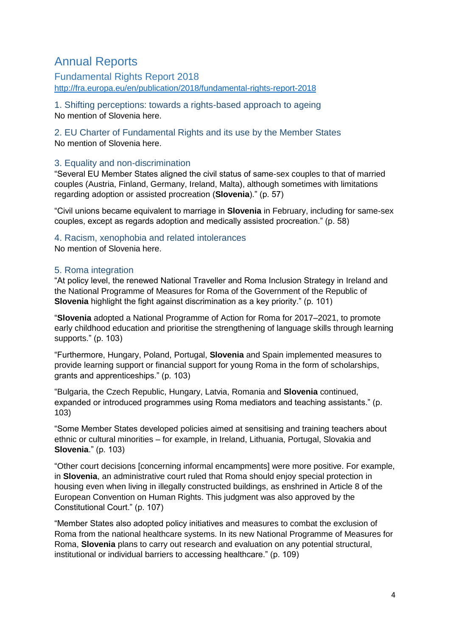# <span id="page-3-0"></span>Annual Reports

<span id="page-3-1"></span>Fundamental Rights Report 2018 <http://fra.europa.eu/en/publication/2018/fundamental-rights-report-2018>

<span id="page-3-2"></span>1. Shifting perceptions: towards a rights-based approach to ageing No mention of Slovenia here.

<span id="page-3-3"></span>2. EU Charter of Fundamental Rights and its use by the Member States No mention of Slovenia here.

## <span id="page-3-4"></span>3. Equality and non-discrimination

"Several EU Member States aligned the civil status of same-sex couples to that of married couples (Austria, Finland, Germany, Ireland, Malta), although sometimes with limitations regarding adoption or assisted procreation (**Slovenia**)." (p. 57)

"Civil unions became equivalent to marriage in **Slovenia** in February, including for same-sex couples, except as regards adoption and medically assisted procreation." (p. 58)

# <span id="page-3-5"></span>4. Racism, xenophobia and related intolerances

No mention of Slovenia here.

### <span id="page-3-6"></span>5. Roma integration

"At policy level, the renewed National Traveller and Roma Inclusion Strategy in Ireland and the National Programme of Measures for Roma of the Government of the Republic of **Slovenia** highlight the fight against discrimination as a key priority." (p. 101)

"**Slovenia** adopted a National Programme of Action for Roma for 2017–2021, to promote early childhood education and prioritise the strengthening of language skills through learning supports." (p. 103)

"Furthermore, Hungary, Poland, Portugal, **Slovenia** and Spain implemented measures to provide learning support or financial support for young Roma in the form of scholarships, grants and apprenticeships." (p. 103)

"Bulgaria, the Czech Republic, Hungary, Latvia, Romania and **Slovenia** continued, expanded or introduced programmes using Roma mediators and teaching assistants." (p. 103)

"Some Member States developed policies aimed at sensitising and training teachers about ethnic or cultural minorities – for example, in Ireland, Lithuania, Portugal, Slovakia and **Slovenia**." (p. 103)

"Other court decisions [concerning informal encampments] were more positive. For example, in **Slovenia**, an administrative court ruled that Roma should enjoy special protection in housing even when living in illegally constructed buildings, as enshrined in Article 8 of the European Convention on Human Rights. This judgment was also approved by the Constitutional Court." (p. 107)

"Member States also adopted policy initiatives and measures to combat the exclusion of Roma from the national healthcare systems. In its new National Programme of Measures for Roma, **Slovenia** plans to carry out research and evaluation on any potential structural, institutional or individual barriers to accessing healthcare." (p. 109)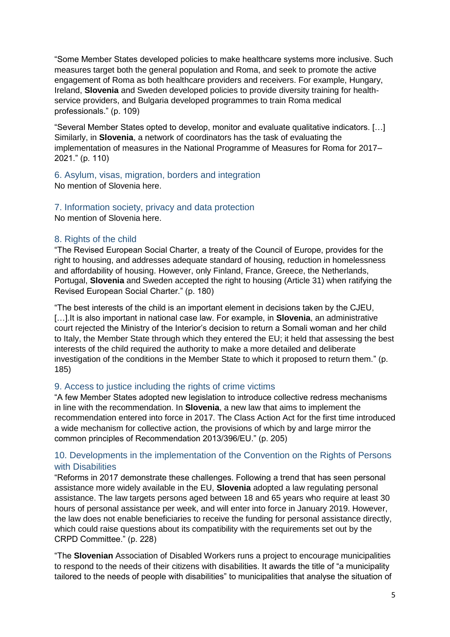"Some Member States developed policies to make healthcare systems more inclusive. Such measures target both the general population and Roma, and seek to promote the active engagement of Roma as both healthcare providers and receivers. For example, Hungary, Ireland, **Slovenia** and Sweden developed policies to provide diversity training for healthservice providers, and Bulgaria developed programmes to train Roma medical professionals." (p. 109)

"Several Member States opted to develop, monitor and evaluate qualitative indicators. […] Similarly, in **Slovenia**, a network of coordinators has the task of evaluating the implementation of measures in the National Programme of Measures for Roma for 2017– 2021." (p. 110)

<span id="page-4-0"></span>6. Asylum, visas, migration, borders and integration No mention of Slovenia here.

<span id="page-4-1"></span>7. Information society, privacy and data protection

No mention of Slovenia here.

### <span id="page-4-2"></span>8. Rights of the child

"The Revised European Social Charter, a treaty of the Council of Europe, provides for the right to housing, and addresses adequate standard of housing, reduction in homelessness and affordability of housing. However, only Finland, France, Greece, the Netherlands, Portugal, **Slovenia** and Sweden accepted the right to housing (Article 31) when ratifying the Revised European Social Charter." (p. 180)

"The best interests of the child is an important element in decisions taken by the CJEU, [...]. It is also important in national case law. For example, in **Slovenia**, an administrative court rejected the Ministry of the Interior's decision to return a Somali woman and her child to Italy, the Member State through which they entered the EU; it held that assessing the best interests of the child required the authority to make a more detailed and deliberate investigation of the conditions in the Member State to which it proposed to return them." (p. 185)

### <span id="page-4-3"></span>9. Access to justice including the rights of crime victims

"A few Member States adopted new legislation to introduce collective redress mechanisms in line with the recommendation. In **Slovenia**, a new law that aims to implement the recommendation entered into force in 2017. The Class Action Act for the first time introduced a wide mechanism for collective action, the provisions of which by and large mirror the common principles of Recommendation 2013/396/EU." (p. 205)

# <span id="page-4-4"></span>10. Developments in the implementation of the Convention on the Rights of Persons with Disabilities

"Reforms in 2017 demonstrate these challenges. Following a trend that has seen personal assistance more widely available in the EU, **Slovenia** adopted a law regulating personal assistance. The law targets persons aged between 18 and 65 years who require at least 30 hours of personal assistance per week, and will enter into force in January 2019. However, the law does not enable beneficiaries to receive the funding for personal assistance directly, which could raise questions about its compatibility with the requirements set out by the CRPD Committee." (p. 228)

"The **Slovenian** Association of Disabled Workers runs a project to encourage municipalities to respond to the needs of their citizens with disabilities. It awards the title of "a municipality tailored to the needs of people with disabilities" to municipalities that analyse the situation of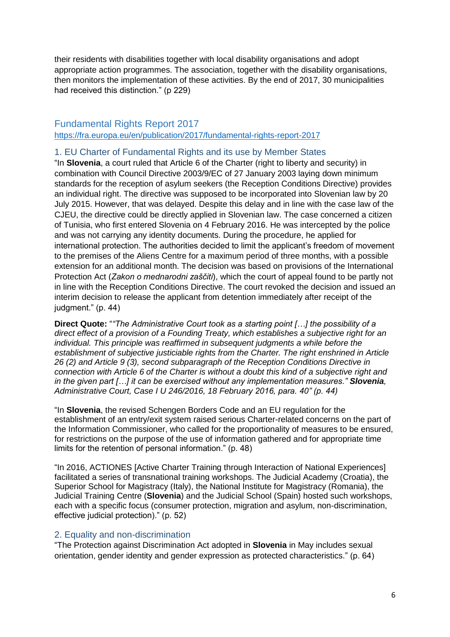their residents with disabilities together with local disability organisations and adopt appropriate action programmes. The association, together with the disability organisations, then monitors the implementation of these activities. By the end of 2017, 30 municipalities had received this distinction." (p 229)

# <span id="page-5-0"></span>Fundamental Rights Report 2017 <https://fra.europa.eu/en/publication/2017/fundamental-rights-report-2017>

#### <span id="page-5-1"></span>1. EU Charter of Fundamental Rights and its use by Member States

"In **Slovenia**, a court ruled that Article 6 of the Charter (right to liberty and security) in combination with Council Directive 2003/9/EC of 27 January 2003 laying down minimum standards for the reception of asylum seekers (the Reception Conditions Directive) provides an individual right. The directive was supposed to be incorporated into Slovenian law by 20 July 2015. However, that was delayed. Despite this delay and in line with the case law of the CJEU, the directive could be directly applied in Slovenian law. The case concerned a citizen of Tunisia, who first entered Slovenia on 4 February 2016. He was intercepted by the police and was not carrying any identity documents. During the procedure, he applied for international protection. The authorities decided to limit the applicant's freedom of movement to the premises of the Aliens Centre for a maximum period of three months, with a possible extension for an additional month. The decision was based on provisions of the International Protection Act (*Zakon o mednarodni zaščiti*), which the court of appeal found to be partly not in line with the Reception Conditions Directive. The court revoked the decision and issued an interim decision to release the applicant from detention immediately after receipt of the  $i$ udgment." (p. 44)

**Direct Quote:** "*"The Administrative Court took as a starting point […] the possibility of a direct effect of a provision of a Founding Treaty, which establishes a subjective right for an individual. This principle was reaffirmed in subsequent judgments a while before the establishment of subjective justiciable rights from the Charter. The right enshrined in Article 26 (2) and Article 9 (3), second subparagraph of the Reception Conditions Directive in connection with Article 6 of the Charter is without a doubt this kind of a subjective right and in the given part […] it can be exercised without any implementation measures." Slovenia, Administrative Court, Case I U 246/2016, 18 February 2016, para. 40" (p. 44)*

"In **Slovenia**, the revised Schengen Borders Code and an EU regulation for the establishment of an entry/exit system raised serious Charter-related concerns on the part of the Information Commissioner, who called for the proportionality of measures to be ensured, for restrictions on the purpose of the use of information gathered and for appropriate time limits for the retention of personal information." (p. 48)

"In 2016, ACTIONES [Active Charter Training through Interaction of National Experiences] facilitated a series of transnational training workshops. The Judicial Academy (Croatia), the Superior School for Magistracy (Italy), the National Institute for Magistracy (Romania), the Judicial Training Centre (**Slovenia**) and the Judicial School (Spain) hosted such workshops, each with a specific focus (consumer protection, migration and asylum, non-discrimination, effective judicial protection)." (p. 52)

### <span id="page-5-2"></span>2. Equality and non-discrimination

"The Protection against Discrimination Act adopted in **Slovenia** in May includes sexual orientation, gender identity and gender expression as protected characteristics." (p. 64)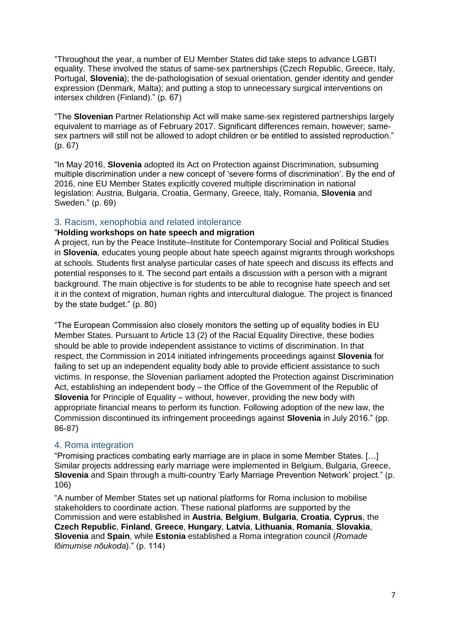"Throughout the year, a number of EU Member States did take steps to advance LGBTI equality. These involved the status of same-sex partnerships (Czech Republic, Greece, Italy, Portugal, **Slovenia**); the de-pathologisation of sexual orientation, gender identity and gender expression (Denmark, Malta); and putting a stop to unnecessary surgical interventions on intersex children (Finland)." (p. 67)

"The **Slovenian** Partner Relationship Act will make same-sex registered partnerships largely equivalent to marriage as of February 2017. Significant differences remain, however; samesex partners will still not be allowed to adopt children or be entitled to assisted reproduction." (p. 67)

"In May 2016, **Slovenia** adopted its Act on Protection against Discrimination, subsuming multiple discrimination under a new concept of 'severe forms of discrimination'. By the end of 2016, nine EU Member States explicitly covered multiple discrimination in national legislation: Austria, Bulgaria, Croatia, Germany, Greece, Italy, Romania, **Slovenia** and Sweden." (p. 69)

#### <span id="page-6-0"></span>3. Racism, xenophobia and related intolerance

#### "**Holding workshops on hate speech and migration**

A project, run by the Peace Institute–Institute for Contemporary Social and Political Studies in **Slovenia**, educates young people about hate speech against migrants through workshops at schools. Students first analyse particular cases of hate speech and discuss its effects and potential responses to it. The second part entails a discussion with a person with a migrant background. The main objective is for students to be able to recognise hate speech and set it in the context of migration, human rights and intercultural dialogue. The project is financed by the state budget." (p. 80)

"The European Commission also closely monitors the setting up of equality bodies in EU Member States. Pursuant to Article 13 (2) of the Racial Equality Directive, these bodies should be able to provide independent assistance to victims of discrimination. In that respect, the Commission in 2014 initiated infringements proceedings against **Slovenia** for failing to set up an independent equality body able to provide efficient assistance to such victims. In response, the Slovenian parliament adopted the Protection against Discrimination Act, establishing an independent body – the Office of the Government of the Republic of **Slovenia** for Principle of Equality – without, however, providing the new body with appropriate financial means to perform its function. Following adoption of the new law, the Commission discontinued its infringement proceedings against **Slovenia** in July 2016." (pp. 86-87)

#### <span id="page-6-1"></span>4. Roma integration

"Promising practices combating early marriage are in place in some Member States. […] Similar projects addressing early marriage were implemented in Belgium, Bulgaria, Greece, **Slovenia** and Spain through a multi-country 'Early Marriage Prevention Network' project." (p. 106)

"A number of Member States set up national platforms for Roma inclusion to mobilise stakeholders to coordinate action. These national platforms are supported by the Commission and were established in **Austria**, **Belgium**, **Bulgaria**, **Croatia**, **Cyprus**, the **Czech Republic**, **Finland**, **Greece**, **Hungary**, **Latvia**, **Lithuania**, **Romania**, **Slovakia**, **Slovenia** and **Spain**, while **Estonia** established a Roma integration council (*Romade lõimumise nõukoda*)." (p. 114)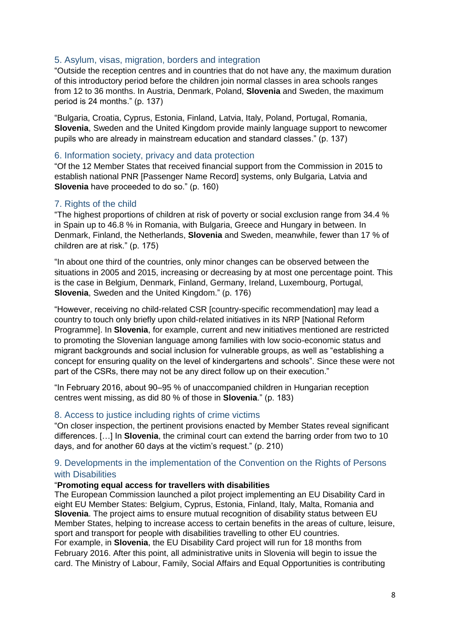#### <span id="page-7-0"></span>5. Asylum, visas, migration, borders and integration

"Outside the reception centres and in countries that do not have any, the maximum duration of this introductory period before the children join normal classes in area schools ranges from 12 to 36 months. In Austria, Denmark, Poland, **Slovenia** and Sweden, the maximum period is 24 months." (p. 137)

"Bulgaria, Croatia, Cyprus, Estonia, Finland, Latvia, Italy, Poland, Portugal, Romania, **Slovenia**, Sweden and the United Kingdom provide mainly language support to newcomer pupils who are already in mainstream education and standard classes." (p. 137)

#### <span id="page-7-1"></span>6. Information society, privacy and data protection

"Of the 12 Member States that received financial support from the Commission in 2015 to establish national PNR [Passenger Name Record] systems, only Bulgaria, Latvia and **Slovenia** have proceeded to do so." (p. 160)

### <span id="page-7-2"></span>7. Rights of the child

"The highest proportions of children at risk of poverty or social exclusion range from 34.4 % in Spain up to 46.8 % in Romania, with Bulgaria, Greece and Hungary in between. In Denmark, Finland, the Netherlands, **Slovenia** and Sweden, meanwhile, fewer than 17 % of children are at risk." (p. 175)

"In about one third of the countries, only minor changes can be observed between the situations in 2005 and 2015, increasing or decreasing by at most one percentage point. This is the case in Belgium, Denmark, Finland, Germany, Ireland, Luxembourg, Portugal, **Slovenia**, Sweden and the United Kingdom." (p. 176)

"However, receiving no child-related CSR [country-specific recommendation] may lead a country to touch only briefly upon child-related initiatives in its NRP [National Reform Programme]. In **Slovenia**, for example, current and new initiatives mentioned are restricted to promoting the Slovenian language among families with low socio-economic status and migrant backgrounds and social inclusion for vulnerable groups, as well as "establishing a concept for ensuring quality on the level of kindergartens and schools". Since these were not part of the CSRs, there may not be any direct follow up on their execution."

"In February 2016, about 90–95 % of unaccompanied children in Hungarian reception centres went missing, as did 80 % of those in **Slovenia**." (p. 183)

#### <span id="page-7-3"></span>8. Access to justice including rights of crime victims

"On closer inspection, the pertinent provisions enacted by Member States reveal significant differences. […] In **Slovenia**, the criminal court can extend the barring order from two to 10 days, and for another 60 days at the victim's request." (p. 210)

### <span id="page-7-4"></span>9. Developments in the implementation of the Convention on the Rights of Persons with Disabilities

#### "**Promoting equal access for travellers with disabilities**

The European Commission launched a pilot project implementing an EU Disability Card in eight EU Member States: Belgium, Cyprus, Estonia, Finland, Italy, Malta, Romania and **Slovenia**. The project aims to ensure mutual recognition of disability status between EU Member States, helping to increase access to certain benefits in the areas of culture, leisure, sport and transport for people with disabilities travelling to other EU countries.

For example, in **Slovenia**, the EU Disability Card project will run for 18 months from February 2016. After this point, all administrative units in Slovenia will begin to issue the card. The Ministry of Labour, Family, Social Affairs and Equal Opportunities is contributing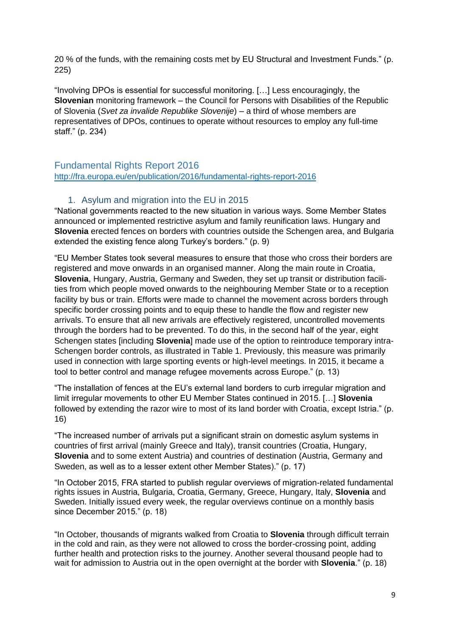20 % of the funds, with the remaining costs met by EU Structural and Investment Funds." (p. 225)

"Involving DPOs is essential for successful monitoring. […] Less encouragingly, the **Slovenian** monitoring framework – the Council for Persons with Disabilities of the Republic of Slovenia (*Svet za invalide Republike Slovenije*) – a third of whose members are representatives of DPOs, continues to operate without resources to employ any full-time staff." (p. 234)

# <span id="page-8-0"></span>Fundamental Rights Report 2016

<http://fra.europa.eu/en/publication/2016/fundamental-rights-report-2016>

# 1. Asylum and migration into the EU in 2015

<span id="page-8-1"></span>"National governments reacted to the new situation in various ways. Some Member States announced or implemented restrictive asylum and family reunification laws. Hungary and **Slovenia** erected fences on borders with countries outside the Schengen area, and Bulgaria extended the existing fence along Turkey's borders." (p. 9)

"EU Member States took several measures to ensure that those who cross their borders are registered and move onwards in an organised manner. Along the main route in Croatia, **Slovenia**, Hungary, Austria, Germany and Sweden, they set up transit or distribution facilities from which people moved onwards to the neighbouring Member State or to a reception facility by bus or train. Efforts were made to channel the movement across borders through specific border crossing points and to equip these to handle the flow and register new arrivals. To ensure that all new arrivals are effectively registered, uncontrolled movements through the borders had to be prevented. To do this, in the second half of the year, eight Schengen states [including **Slovenia**] made use of the option to reintroduce temporary intra-Schengen border controls, as illustrated in Table 1. Previously, this measure was primarily used in connection with large sporting events or high-level meetings. In 2015, it became a tool to better control and manage refugee movements across Europe." (p. 13)

"The installation of fences at the EU's external land borders to curb irregular migration and limit irregular movements to other EU Member States continued in 2015. […] **Slovenia**  followed by extending the razor wire to most of its land border with Croatia, except Istria." (p. 16)

"The increased number of arrivals put a significant strain on domestic asylum systems in countries of first arrival (mainly Greece and Italy), transit countries (Croatia, Hungary, **Slovenia** and to some extent Austria) and countries of destination (Austria, Germany and Sweden, as well as to a lesser extent other Member States)." (p. 17)

"In October 2015, FRA started to publish regular overviews of migration-related fundamental rights issues in Austria, Bulgaria, Croatia, Germany, Greece, Hungary, Italy, **Slovenia** and Sweden. Initially issued every week, the regular overviews continue on a monthly basis since December 2015." (p. 18)

"In October, thousands of migrants walked from Croatia to **Slovenia** through difficult terrain in the cold and rain, as they were not allowed to cross the border-crossing point, adding further health and protection risks to the journey. Another several thousand people had to wait for admission to Austria out in the open overnight at the border with **Slovenia**." (p. 18)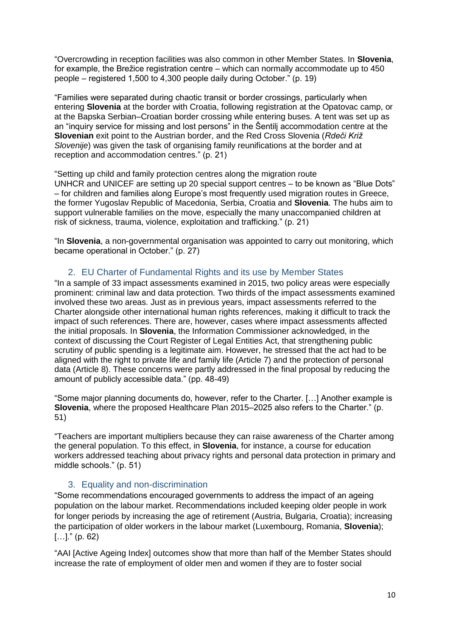"Overcrowding in reception facilities was also common in other Member States. In **Slovenia**, for example, the Brežice registration centre – which can normally accommodate up to 450 people – registered 1,500 to 4,300 people daily during October." (p. 19)

"Families were separated during chaotic transit or border crossings, particularly when entering **Slovenia** at the border with Croatia, following registration at the Opatovac camp, or at the Bapska Serbian–Croatian border crossing while entering buses. A tent was set up as an "inquiry service for missing and lost persons" in the Šentilj accommodation centre at the **Slovenian** exit point to the Austrian border, and the Red Cross Slovenia (*Rdeči Križ Slovenije*) was given the task of organising family reunifications at the border and at reception and accommodation centres." (p. 21)

"Setting up child and family protection centres along the migration route UNHCR and UNICEF are setting up 20 special support centres – to be known as "Blue Dots" – for children and families along Europe's most frequently used migration routes in Greece, the former Yugoslav Republic of Macedonia, Serbia, Croatia and **Slovenia**. The hubs aim to support vulnerable families on the move, especially the many unaccompanied children at risk of sickness, trauma, violence, exploitation and trafficking." (p. 21)

"In **Slovenia**, a non-governmental organisation was appointed to carry out monitoring, which became operational in October." (p. 27)

# 2. EU Charter of Fundamental Rights and its use by Member States

<span id="page-9-0"></span>"In a sample of 33 impact assessments examined in 2015, two policy areas were especially prominent: criminal law and data protection. Two thirds of the impact assessments examined involved these two areas. Just as in previous years, impact assessments referred to the Charter alongside other international human rights references, making it difficult to track the impact of such references. There are, however, cases where impact assessments affected the initial proposals. In **Slovenia**, the Information Commissioner acknowledged, in the context of discussing the Court Register of Legal Entities Act, that strengthening public scrutiny of public spending is a legitimate aim. However, he stressed that the act had to be aligned with the right to private life and family life (Article 7) and the protection of personal data (Article 8). These concerns were partly addressed in the final proposal by reducing the amount of publicly accessible data." (pp. 48-49)

"Some major planning documents do, however, refer to the Charter. […] Another example is **Slovenia**, where the proposed Healthcare Plan 2015–2025 also refers to the Charter." (p. 51)

"Teachers are important multipliers because they can raise awareness of the Charter among the general population. To this effect, in **Slovenia**, for instance, a course for education workers addressed teaching about privacy rights and personal data protection in primary and middle schools." (p. 51)

### 3. Equality and non-discrimination

<span id="page-9-1"></span>"Some recommendations encouraged governments to address the impact of an ageing population on the labour market. Recommendations included keeping older people in work for longer periods by increasing the age of retirement (Austria, Bulgaria, Croatia); increasing the participation of older workers in the labour market (Luxembourg, Romania, **Slovenia**);  $[...]$ " (p. 62)

"AAI [Active Ageing Index] outcomes show that more than half of the Member States should increase the rate of employment of older men and women if they are to foster social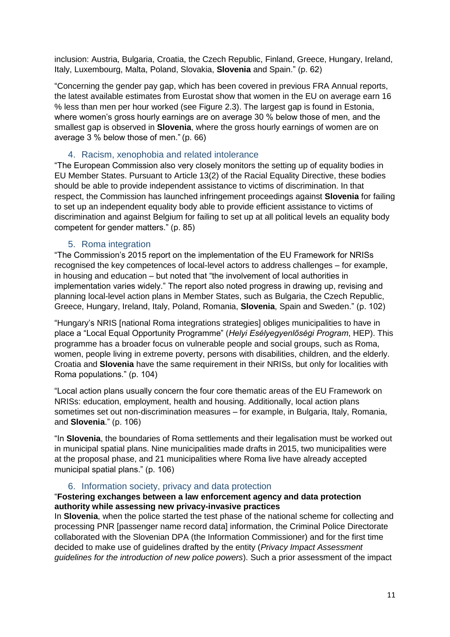inclusion: Austria, Bulgaria, Croatia, the Czech Republic, Finland, Greece, Hungary, Ireland, Italy, Luxembourg, Malta, Poland, Slovakia, **Slovenia** and Spain." (p. 62)

"Concerning the gender pay gap, which has been covered in previous FRA Annual reports, the latest available estimates from Eurostat show that women in the EU on average earn 16 % less than men per hour worked (see Figure 2.3). The largest gap is found in Estonia, where women's gross hourly earnings are on average 30 % below those of men, and the smallest gap is observed in **Slovenia**, where the gross hourly earnings of women are on average 3 % below those of men." (p. 66)

#### 4. Racism, xenophobia and related intolerance

<span id="page-10-0"></span>"The European Commission also very closely monitors the setting up of equality bodies in EU Member States. Pursuant to Article 13(2) of the Racial Equality Directive, these bodies should be able to provide independent assistance to victims of discrimination. In that respect, the Commission has launched infringement proceedings against **Slovenia** for failing to set up an independent equality body able to provide efficient assistance to victims of discrimination and against Belgium for failing to set up at all political levels an equality body competent for gender matters." (p. 85)

### 5. Roma integration

<span id="page-10-1"></span>"The Commission's 2015 report on the implementation of the EU Framework for NRISs recognised the key competences of local-level actors to address challenges – for example, in housing and education – but noted that "the involvement of local authorities in implementation varies widely." The report also noted progress in drawing up, revising and planning local-level action plans in Member States, such as Bulgaria, the Czech Republic, Greece, Hungary, Ireland, Italy, Poland, Romania, **Slovenia**, Spain and Sweden." (p. 102)

"Hungary's NRIS [national Roma integrations strategies] obliges municipalities to have in place a "Local Equal Opportunity Programme" (*Helyi Esélyegyenlőségi Program*, HEP). This programme has a broader focus on vulnerable people and social groups, such as Roma, women, people living in extreme poverty, persons with disabilities, children, and the elderly. Croatia and **Slovenia** have the same requirement in their NRISs, but only for localities with Roma populations." (p. 104)

"Local action plans usually concern the four core thematic areas of the EU Framework on NRISs: education, employment, health and housing. Additionally, local action plans sometimes set out non-discrimination measures – for example, in Bulgaria, Italy, Romania, and **Slovenia**." (p. 106)

"In **Slovenia**, the boundaries of Roma settlements and their legalisation must be worked out in municipal spatial plans. Nine municipalities made drafts in 2015, two municipalities were at the proposal phase, and 21 municipalities where Roma live have already accepted municipal spatial plans." (p. 106)

#### 6. Information society, privacy and data protection

#### <span id="page-10-2"></span>"**Fostering exchanges between a law enforcement agency and data protection authority while assessing new privacy-invasive practices**

In **Slovenia**, when the police started the test phase of the national scheme for collecting and processing PNR [passenger name record data] information, the Criminal Police Directorate collaborated with the Slovenian DPA (the Information Commissioner) and for the first time decided to make use of guidelines drafted by the entity (*Privacy Impact Assessment guidelines for the introduction of new police powers*). Such a prior assessment of the impact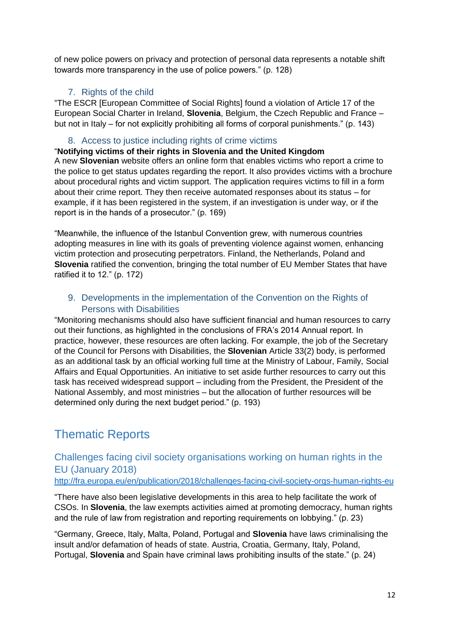of new police powers on privacy and protection of personal data represents a notable shift towards more transparency in the use of police powers." (p. 128)

# 7. Rights of the child

<span id="page-11-0"></span>"The ESCR [European Committee of Social Rights] found a violation of Article 17 of the European Social Charter in Ireland, **Slovenia**, Belgium, the Czech Republic and France – but not in Italy – for not explicitly prohibiting all forms of corporal punishments." (p. 143)

# 8. Access to justice including rights of crime victims

<span id="page-11-1"></span>"**Notifying victims of their rights in Slovenia and the United Kingdom**

A new **Slovenian** website offers an online form that enables victims who report a crime to the police to get status updates regarding the report. It also provides victims with a brochure about procedural rights and victim support. The application requires victims to fill in a form about their crime report. They then receive automated responses about its status – for example, if it has been registered in the system, if an investigation is under way, or if the report is in the hands of a prosecutor." (p. 169)

"Meanwhile, the influence of the Istanbul Convention grew, with numerous countries adopting measures in line with its goals of preventing violence against women, enhancing victim protection and prosecuting perpetrators. Finland, the Netherlands, Poland and **Slovenia** ratified the convention, bringing the total number of EU Member States that have ratified it to 12." (p. 172)

# <span id="page-11-2"></span>9. Developments in the implementation of the Convention on the Rights of Persons with Disabilities

"Monitoring mechanisms should also have sufficient financial and human resources to carry out their functions, as highlighted in the conclusions of FRA's 2014 Annual report. In practice, however, these resources are often lacking. For example, the job of the Secretary of the Council for Persons with Disabilities, the **Slovenian** Article 33(2) body, is performed as an additional task by an official working full time at the Ministry of Labour, Family, Social Affairs and Equal Opportunities. An initiative to set aside further resources to carry out this task has received widespread support – including from the President, the President of the National Assembly, and most ministries – but the allocation of further resources will be determined only during the next budget period." (p. 193)

# <span id="page-11-3"></span>Thematic Reports

<span id="page-11-4"></span>Challenges facing civil society organisations working on human rights in the EU (January 2018) <http://fra.europa.eu/en/publication/2018/challenges-facing-civil-society-orgs-human-rights-eu>

"There have also been legislative developments in this area to help facilitate the work of CSOs. In **Slovenia**, the law exempts activities aimed at promoting democracy, human rights and the rule of law from registration and reporting requirements on lobbying." (p. 23)

"Germany, Greece, Italy, Malta, Poland, Portugal and **Slovenia** have laws criminalising the insult and/or defamation of heads of state. Austria, Croatia, Germany, Italy, Poland, Portugal, **Slovenia** and Spain have criminal laws prohibiting insults of the state." (p. 24)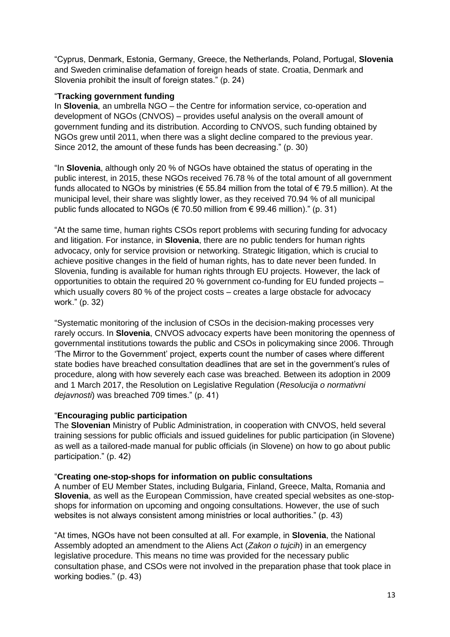"Cyprus, Denmark, Estonia, Germany, Greece, the Netherlands, Poland, Portugal, **Slovenia** and Sweden criminalise defamation of foreign heads of state. Croatia, Denmark and Slovenia prohibit the insult of foreign states." (p. 24)

#### "**Tracking government funding**

In **Slovenia**, an umbrella NGO – the Centre for information service, co-operation and development of NGOs (CNVOS) – provides useful analysis on the overall amount of government funding and its distribution. According to CNVOS, such funding obtained by NGOs grew until 2011, when there was a slight decline compared to the previous year. Since 2012, the amount of these funds has been decreasing." (p. 30)

"In **Slovenia**, although only 20 % of NGOs have obtained the status of operating in the public interest, in 2015, these NGOs received 76.78 % of the total amount of all government funds allocated to NGOs by ministries ( $\epsilon$  55.84 million from the total of  $\epsilon$  79.5 million). At the municipal level, their share was slightly lower, as they received 70.94 % of all municipal public funds allocated to NGOs (€ 70.50 million from € 99.46 million)." (p. 31)

"At the same time, human rights CSOs report problems with securing funding for advocacy and litigation. For instance, in **Slovenia**, there are no public tenders for human rights advocacy, only for service provision or networking. Strategic litigation, which is crucial to achieve positive changes in the field of human rights, has to date never been funded. In Slovenia, funding is available for human rights through EU projects. However, the lack of opportunities to obtain the required 20 % government co-funding for EU funded projects – which usually covers 80 % of the project costs – creates a large obstacle for advocacy work." (p. 32)

"Systematic monitoring of the inclusion of CSOs in the decision-making processes very rarely occurs. In **Slovenia**, CNVOS advocacy experts have been monitoring the openness of governmental institutions towards the public and CSOs in policymaking since 2006. Through 'The Mirror to the Government' project, experts count the number of cases where different state bodies have breached consultation deadlines that are set in the government's rules of procedure, along with how severely each case was breached. Between its adoption in 2009 and 1 March 2017, the Resolution on Legislative Regulation (*Resolucija o normativni dejavnosti*) was breached 709 times." (p. 41)

### "**Encouraging public participation**

The **Slovenian** Ministry of Public Administration, in cooperation with CNVOS, held several training sessions for public officials and issued guidelines for public participation (in Slovene) as well as a tailored-made manual for public officials (in Slovene) on how to go about public participation." (p. 42)

#### "**Creating one-stop-shops for information on public consultations**

A number of EU Member States, including Bulgaria, Finland, Greece, Malta, Romania and **Slovenia**, as well as the European Commission, have created special websites as one-stopshops for information on upcoming and ongoing consultations. However, the use of such websites is not always consistent among ministries or local authorities." (p. 43)

"At times, NGOs have not been consulted at all. For example, in **Slovenia**, the National Assembly adopted an amendment to the Aliens Act (*Zakon o tujcih*) in an emergency legislative procedure. This means no time was provided for the necessary public consultation phase, and CSOs were not involved in the preparation phase that took place in working bodies." (p. 43)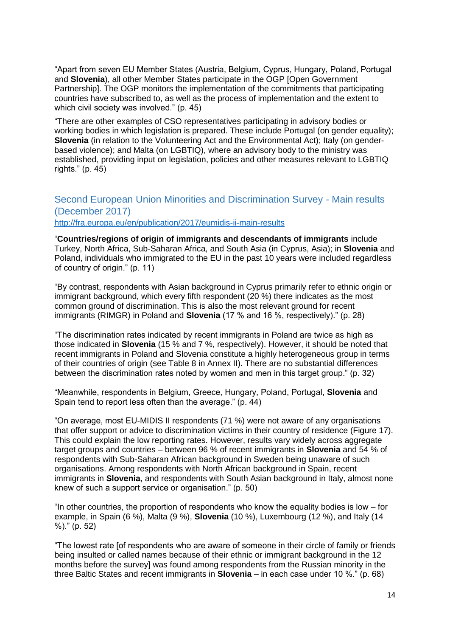"Apart from seven EU Member States (Austria, Belgium, Cyprus, Hungary, Poland, Portugal and **Slovenia**), all other Member States participate in the OGP [Open Government Partnership]. The OGP monitors the implementation of the commitments that participating countries have subscribed to, as well as the process of implementation and the extent to which civil society was involved." (p. 45)

"There are other examples of CSO representatives participating in advisory bodies or working bodies in which legislation is prepared. These include Portugal (on gender equality); **Slovenia** (in relation to the Volunteering Act and the Environmental Act); Italy (on genderbased violence); and Malta (on LGBTIQ), where an advisory body to the ministry was established, providing input on legislation, policies and other measures relevant to LGBTIQ rights." (p. 45)

## <span id="page-13-0"></span>Second European Union Minorities and Discrimination Survey - Main results (December 2017) <http://fra.europa.eu/en/publication/2017/eumidis-ii-main-results>

"**Countries/regions of origin of immigrants and descendants of immigrants** include Turkey, North Africa, Sub-Saharan Africa, and South Asia (in Cyprus, Asia); in **Slovenia** and Poland, individuals who immigrated to the EU in the past 10 years were included regardless of country of origin." (p. 11)

"By contrast, respondents with Asian background in Cyprus primarily refer to ethnic origin or immigrant background, which every fifth respondent (20 %) there indicates as the most common ground of discrimination. This is also the most relevant ground for recent immigrants (RIMGR) in Poland and **Slovenia** (17 % and 16 %, respectively)." (p. 28)

"The discrimination rates indicated by recent immigrants in Poland are twice as high as those indicated in **Slovenia** (15 % and 7 %, respectively). However, it should be noted that recent immigrants in Poland and Slovenia constitute a highly heterogeneous group in terms of their countries of origin (see Table 8 in Annex II). There are no substantial differences between the discrimination rates noted by women and men in this target group." (p. 32)

"Meanwhile, respondents in Belgium, Greece, Hungary, Poland, Portugal, **Slovenia** and Spain tend to report less often than the average." (p. 44)

"On average, most EU-MIDIS II respondents (71 %) were not aware of any organisations that offer support or advice to discrimination victims in their country of residence (Figure 17). This could explain the low reporting rates. However, results vary widely across aggregate target groups and countries – between 96 % of recent immigrants in **Slovenia** and 54 % of respondents with Sub-Saharan African background in Sweden being unaware of such organisations. Among respondents with North African background in Spain, recent immigrants in **Slovenia**, and respondents with South Asian background in Italy, almost none knew of such a support service or organisation." (p. 50)

"In other countries, the proportion of respondents who know the equality bodies is low – for example, in Spain (6 %), Malta (9 %), **Slovenia** (10 %), Luxembourg (12 %), and Italy (14 %)." (p. 52)

"The lowest rate [of respondents who are aware of someone in their circle of family or friends being insulted or called names because of their ethnic or immigrant background in the 12 months before the survey] was found among respondents from the Russian minority in the three Baltic States and recent immigrants in **Slovenia** – in each case under 10 %." (p. 68)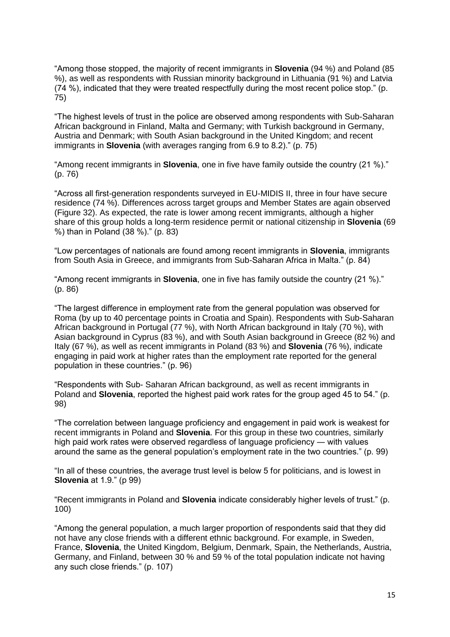"Among those stopped, the majority of recent immigrants in **Slovenia** (94 %) and Poland (85 %), as well as respondents with Russian minority background in Lithuania (91 %) and Latvia  $(74 \%)$ , indicated that they were treated respectfully during the most recent police stop." (p. 75)

"The highest levels of trust in the police are observed among respondents with Sub-Saharan African background in Finland, Malta and Germany; with Turkish background in Germany, Austria and Denmark; with South Asian background in the United Kingdom; and recent immigrants in **Slovenia** (with averages ranging from 6.9 to 8.2)." (p. 75)

"Among recent immigrants in **Slovenia**, one in five have family outside the country (21 %)." (p. 76)

"Across all first-generation respondents surveyed in EU-MIDIS II, three in four have secure residence (74 %). Differences across target groups and Member States are again observed (Figure 32). As expected, the rate is lower among recent immigrants, although a higher share of this group holds a long-term residence permit or national citizenship in **Slovenia** (69 %) than in Poland (38 %)." (p. 83)

"Low percentages of nationals are found among recent immigrants in **Slovenia**, immigrants from South Asia in Greece, and immigrants from Sub-Saharan Africa in Malta." (p. 84)

"Among recent immigrants in **Slovenia**, one in five has family outside the country (21 %)." (p. 86)

"The largest difference in employment rate from the general population was observed for Roma (by up to 40 percentage points in Croatia and Spain). Respondents with Sub-Saharan African background in Portugal (77 %), with North African background in Italy (70 %), with Asian background in Cyprus (83 %), and with South Asian background in Greece (82 %) and Italy (67 %), as well as recent immigrants in Poland (83 %) and **Slovenia** (76 %), indicate engaging in paid work at higher rates than the employment rate reported for the general population in these countries." (p. 96)

"Respondents with Sub- Saharan African background, as well as recent immigrants in Poland and **Slovenia**, reported the highest paid work rates for the group aged 45 to 54." (p. 98)

"The correlation between language proficiency and engagement in paid work is weakest for recent immigrants in Poland and **Slovenia**. For this group in these two countries, similarly high paid work rates were observed regardless of language proficiency ― with values around the same as the general population's employment rate in the two countries." (p. 99)

"In all of these countries, the average trust level is below 5 for politicians, and is lowest in **Slovenia** at 1.9." (p 99)

"Recent immigrants in Poland and **Slovenia** indicate considerably higher levels of trust." (p. 100)

"Among the general population, a much larger proportion of respondents said that they did not have any close friends with a different ethnic background. For example, in Sweden, France, **Slovenia**, the United Kingdom, Belgium, Denmark, Spain, the Netherlands, Austria, Germany, and Finland, between 30 % and 59 % of the total population indicate not having any such close friends." (p. 107)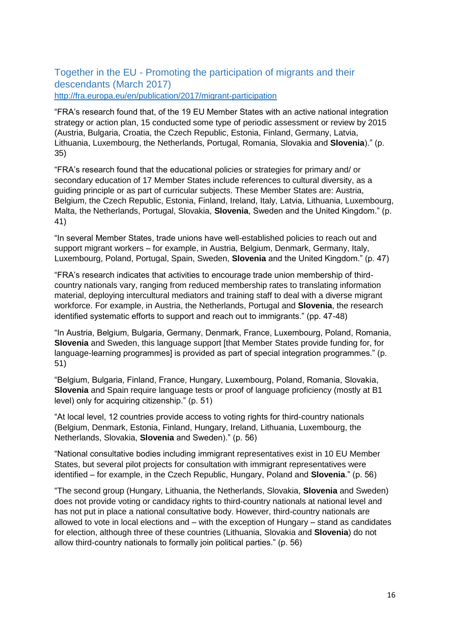<span id="page-15-0"></span>Together in the EU - Promoting the participation of migrants and their descendants (March 2017) <http://fra.europa.eu/en/publication/2017/migrant-participation>

"FRA's research found that, of the 19 EU Member States with an active national integration strategy or action plan, 15 conducted some type of periodic assessment or review by 2015 (Austria, Bulgaria, Croatia, the Czech Republic, Estonia, Finland, Germany, Latvia, Lithuania, Luxembourg, the Netherlands, Portugal, Romania, Slovakia and **Slovenia**)." (p. 35)

"FRA's research found that the educational policies or strategies for primary and/ or secondary education of 17 Member States include references to cultural diversity, as a guiding principle or as part of curricular subjects. These Member States are: Austria, Belgium, the Czech Republic, Estonia, Finland, Ireland, Italy, Latvia, Lithuania, Luxembourg, Malta, the Netherlands, Portugal, Slovakia, **Slovenia**, Sweden and the United Kingdom." (p. 41)

"In several Member States, trade unions have well-established policies to reach out and support migrant workers – for example, in Austria, Belgium, Denmark, Germany, Italy, Luxembourg, Poland, Portugal, Spain, Sweden, **Slovenia** and the United Kingdom." (p. 47)

"FRA's research indicates that activities to encourage trade union membership of thirdcountry nationals vary, ranging from reduced membership rates to translating information material, deploying intercultural mediators and training staff to deal with a diverse migrant workforce. For example, in Austria, the Netherlands, Portugal and **Slovenia**, the research identified systematic efforts to support and reach out to immigrants." (pp. 47-48)

"In Austria, Belgium, Bulgaria, Germany, Denmark, France, Luxembourg, Poland, Romania, **Slovenia** and Sweden, this language support [that Member States provide funding for, for language-learning programmes] is provided as part of special integration programmes." (p. 51)

"Belgium, Bulgaria, Finland, France, Hungary, Luxembourg, Poland, Romania, Slovakia, **Slovenia** and Spain require language tests or proof of language proficiency (mostly at B1 level) only for acquiring citizenship." (p. 51)

"At local level, 12 countries provide access to voting rights for third-country nationals (Belgium, Denmark, Estonia, Finland, Hungary, Ireland, Lithuania, Luxembourg, the Netherlands, Slovakia, **Slovenia** and Sweden)." (p. 56)

"National consultative bodies including immigrant representatives exist in 10 EU Member States, but several pilot projects for consultation with immigrant representatives were identified – for example, in the Czech Republic, Hungary, Poland and **Slovenia**." (p. 56)

"The second group (Hungary, Lithuania, the Netherlands, Slovakia, **Slovenia** and Sweden) does not provide voting or candidacy rights to third-country nationals at national level and has not put in place a national consultative body. However, third-country nationals are allowed to vote in local elections and – with the exception of Hungary – stand as candidates for election, although three of these countries (Lithuania, Slovakia and **Slovenia**) do not allow third-country nationals to formally join political parties." (p. 56)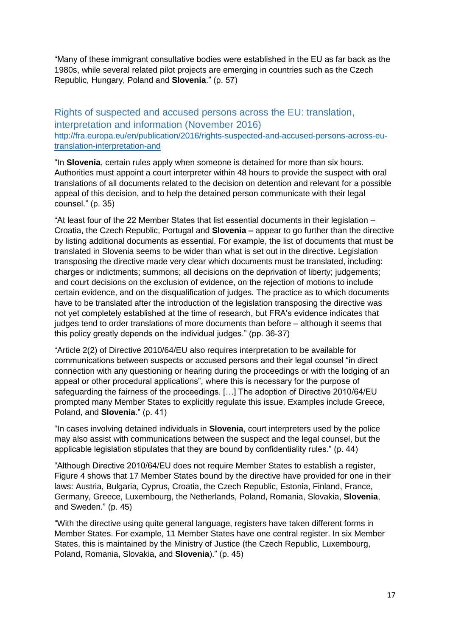"Many of these immigrant consultative bodies were established in the EU as far back as the 1980s, while several related pilot projects are emerging in countries such as the Czech Republic, Hungary, Poland and **Slovenia**." (p. 57)

# <span id="page-16-0"></span>Rights of suspected and accused persons across the EU: translation, interpretation and information (November 2016) [http://fra.europa.eu/en/publication/2016/rights-suspected-and-accused-persons-across-eu](http://fra.europa.eu/en/publication/2016/rights-suspected-and-accused-persons-across-eu-translation-interpretation-and)[translation-interpretation-and](http://fra.europa.eu/en/publication/2016/rights-suspected-and-accused-persons-across-eu-translation-interpretation-and)

"In **Slovenia**, certain rules apply when someone is detained for more than six hours. Authorities must appoint a court interpreter within 48 hours to provide the suspect with oral translations of all documents related to the decision on detention and relevant for a possible appeal of this decision, and to help the detained person communicate with their legal counsel." (p. 35)

"At least four of the 22 Member States that list essential documents in their legislation – Croatia, the Czech Republic, Portugal and **Slovenia –** appear to go further than the directive by listing additional documents as essential. For example, the list of documents that must be translated in Slovenia seems to be wider than what is set out in the directive. Legislation transposing the directive made very clear which documents must be translated, including: charges or indictments; summons; all decisions on the deprivation of liberty; judgements; and court decisions on the exclusion of evidence, on the rejection of motions to include certain evidence, and on the disqualification of judges. The practice as to which documents have to be translated after the introduction of the legislation transposing the directive was not yet completely established at the time of research, but FRA's evidence indicates that judges tend to order translations of more documents than before – although it seems that this policy greatly depends on the individual judges." (pp. 36-37)

"Article 2(2) of Directive 2010/64/EU also requires interpretation to be available for communications between suspects or accused persons and their legal counsel "in direct connection with any questioning or hearing during the proceedings or with the lodging of an appeal or other procedural applications", where this is necessary for the purpose of safeguarding the fairness of the proceedings. […] The adoption of Directive 2010/64/EU prompted many Member States to explicitly regulate this issue. Examples include Greece, Poland, and **Slovenia**." (p. 41)

"In cases involving detained individuals in **Slovenia**, court interpreters used by the police may also assist with communications between the suspect and the legal counsel, but the applicable legislation stipulates that they are bound by confidentiality rules." (p. 44)

"Although Directive 2010/64/EU does not require Member States to establish a register, Figure 4 shows that 17 Member States bound by the directive have provided for one in their laws: Austria, Bulgaria, Cyprus, Croatia, the Czech Republic, Estonia, Finland, France, Germany, Greece, Luxembourg, the Netherlands, Poland, Romania, Slovakia, **Slovenia**, and Sweden." (p. 45)

"With the directive using quite general language, registers have taken different forms in Member States. For example, 11 Member States have one central register. In six Member States, this is maintained by the Ministry of Justice (the Czech Republic, Luxembourg, Poland, Romania, Slovakia, and **Slovenia**)." (p. 45)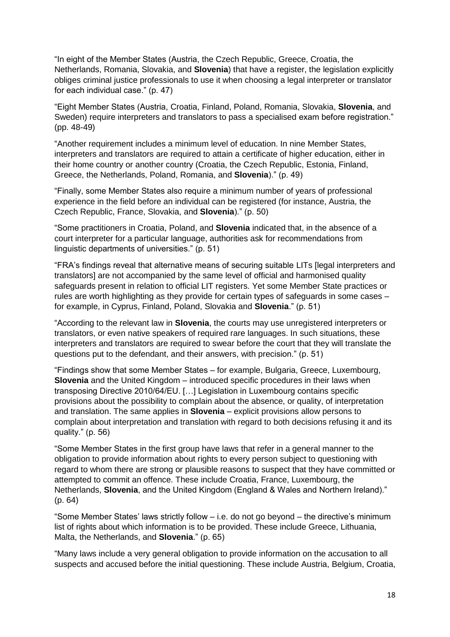"In eight of the Member States (Austria, the Czech Republic, Greece, Croatia, the Netherlands, Romania, Slovakia, and **Slovenia**) that have a register, the legislation explicitly obliges criminal justice professionals to use it when choosing a legal interpreter or translator for each individual case." (p. 47)

"Eight Member States (Austria, Croatia, Finland, Poland, Romania, Slovakia, **Slovenia**, and Sweden) require interpreters and translators to pass a specialised exam before registration." (pp. 48-49)

"Another requirement includes a minimum level of education. In nine Member States, interpreters and translators are required to attain a certificate of higher education, either in their home country or another country (Croatia, the Czech Republic, Estonia, Finland, Greece, the Netherlands, Poland, Romania, and **Slovenia**)." (p. 49)

"Finally, some Member States also require a minimum number of years of professional experience in the field before an individual can be registered (for instance, Austria, the Czech Republic, France, Slovakia, and **Slovenia**)." (p. 50)

"Some practitioners in Croatia, Poland, and **Slovenia** indicated that, in the absence of a court interpreter for a particular language, authorities ask for recommendations from linguistic departments of universities." (p. 51)

"FRA's findings reveal that alternative means of securing suitable LITs [legal interpreters and translators] are not accompanied by the same level of official and harmonised quality safeguards present in relation to official LIT registers. Yet some Member State practices or rules are worth highlighting as they provide for certain types of safeguards in some cases – for example, in Cyprus, Finland, Poland, Slovakia and **Slovenia**." (p. 51)

"According to the relevant law in **Slovenia**, the courts may use unregistered interpreters or translators, or even native speakers of required rare languages. In such situations, these interpreters and translators are required to swear before the court that they will translate the questions put to the defendant, and their answers, with precision." (p. 51)

"Findings show that some Member States – for example, Bulgaria, Greece, Luxembourg, **Slovenia** and the United Kingdom – introduced specific procedures in their laws when transposing Directive 2010/64/EU. […] Legislation in Luxembourg contains specific provisions about the possibility to complain about the absence, or quality, of interpretation and translation. The same applies in **Slovenia** – explicit provisions allow persons to complain about interpretation and translation with regard to both decisions refusing it and its quality." (p. 56)

"Some Member States in the first group have laws that refer in a general manner to the obligation to provide information about rights to every person subject to questioning with regard to whom there are strong or plausible reasons to suspect that they have committed or attempted to commit an offence. These include Croatia, France, Luxembourg, the Netherlands, **Slovenia**, and the United Kingdom (England & Wales and Northern Ireland)." (p. 64)

"Some Member States' laws strictly follow – i.e. do not go beyond – the directive's minimum list of rights about which information is to be provided. These include Greece, Lithuania, Malta, the Netherlands, and **Slovenia**." (p. 65)

"Many laws include a very general obligation to provide information on the accusation to all suspects and accused before the initial questioning. These include Austria, Belgium, Croatia,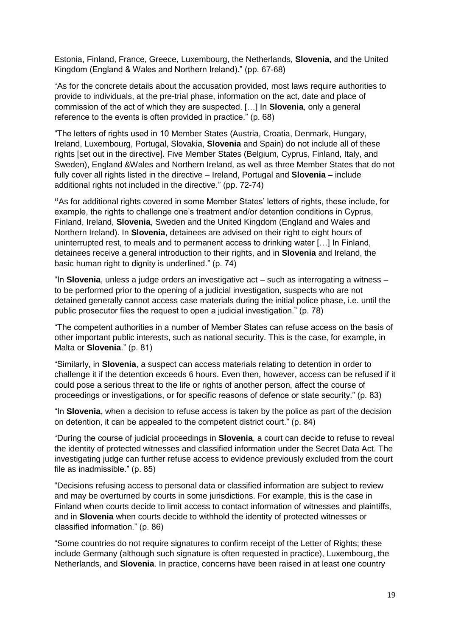Estonia, Finland, France, Greece, Luxembourg, the Netherlands, **Slovenia**, and the United Kingdom (England & Wales and Northern Ireland)." (pp. 67-68)

"As for the concrete details about the accusation provided, most laws require authorities to provide to individuals, at the pre-trial phase, information on the act, date and place of commission of the act of which they are suspected. […] In **Slovenia**, only a general reference to the events is often provided in practice." (p. 68)

"The letters of rights used in 10 Member States (Austria, Croatia, Denmark, Hungary, Ireland, Luxembourg, Portugal, Slovakia, **Slovenia** and Spain) do not include all of these rights [set out in the directive]. Five Member States (Belgium, Cyprus, Finland, Italy, and Sweden), England &Wales and Northern Ireland, as well as three Member States that do not fully cover all rights listed in the directive – Ireland, Portugal and **Slovenia –** include additional rights not included in the directive." (pp. 72-74)

**"**As for additional rights covered in some Member States' letters of rights, these include, for example, the rights to challenge one's treatment and/or detention conditions in Cyprus, Finland, Ireland, **Slovenia**, Sweden and the United Kingdom (England and Wales and Northern Ireland). In **Slovenia**, detainees are advised on their right to eight hours of uninterrupted rest, to meals and to permanent access to drinking water […] In Finland, detainees receive a general introduction to their rights, and in **Slovenia** and Ireland, the basic human right to dignity is underlined." (p. 74)

"In **Slovenia**, unless a judge orders an investigative act – such as interrogating a witness – to be performed prior to the opening of a judicial investigation, suspects who are not detained generally cannot access case materials during the initial police phase, i.e. until the public prosecutor files the request to open a judicial investigation." (p. 78)

"The competent authorities in a number of Member States can refuse access on the basis of other important public interests, such as national security. This is the case, for example, in Malta or **Slovenia**." (p. 81)

"Similarly, in **Slovenia**, a suspect can access materials relating to detention in order to challenge it if the detention exceeds 6 hours. Even then, however, access can be refused if it could pose a serious threat to the life or rights of another person, affect the course of proceedings or investigations, or for specific reasons of defence or state security." (p. 83)

"In **Slovenia**, when a decision to refuse access is taken by the police as part of the decision on detention, it can be appealed to the competent district court." (p. 84)

"During the course of judicial proceedings in **Slovenia**, a court can decide to refuse to reveal the identity of protected witnesses and classified information under the Secret Data Act. The investigating judge can further refuse access to evidence previously excluded from the court file as inadmissible." (p. 85)

"Decisions refusing access to personal data or classified information are subject to review and may be overturned by courts in some jurisdictions. For example, this is the case in Finland when courts decide to limit access to contact information of witnesses and plaintiffs, and in **Slovenia** when courts decide to withhold the identity of protected witnesses or classified information." (p. 86)

"Some countries do not require signatures to confirm receipt of the Letter of Rights; these include Germany (although such signature is often requested in practice), Luxembourg, the Netherlands, and **Slovenia**. In practice, concerns have been raised in at least one country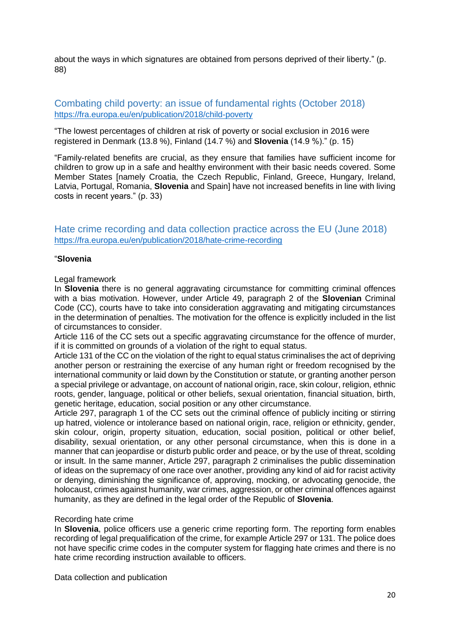about the ways in which signatures are obtained from persons deprived of their liberty." (p. 88)

## <span id="page-19-0"></span>Combating child poverty: an issue of fundamental rights (October 2018) <https://fra.europa.eu/en/publication/2018/child-poverty>

"The lowest percentages of children at risk of poverty or social exclusion in 2016 were registered in Denmark (13.8 %), Finland (14.7 %) and **Slovenia** (14.9 %)." (p. 15)

"Family-related benefits are crucial, as they ensure that families have sufficient income for children to grow up in a safe and healthy environment with their basic needs covered. Some Member States [namely Croatia, the Czech Republic, Finland, Greece, Hungary, Ireland, Latvia, Portugal, Romania, **Slovenia** and Spain] have not increased benefits in line with living costs in recent years." (p. 33)

<span id="page-19-1"></span>Hate crime recording and data collection practice across the EU (June 2018) <https://fra.europa.eu/en/publication/2018/hate-crime-recording>

#### "**Slovenia**

#### Legal framework

In **Slovenia** there is no general aggravating circumstance for committing criminal offences with a bias motivation. However, under Article 49, paragraph 2 of the **Slovenian** Criminal Code (CC), courts have to take into consideration aggravating and mitigating circumstances in the determination of penalties. The motivation for the offence is explicitly included in the list of circumstances to consider.

Article 116 of the CC sets out a specific aggravating circumstance for the offence of murder, if it is committed on grounds of a violation of the right to equal status.

Article 131 of the CC on the violation of the right to equal status criminalises the act of depriving another person or restraining the exercise of any human right or freedom recognised by the international community or laid down by the Constitution or statute, or granting another person a special privilege or advantage, on account of national origin, race, skin colour, religion, ethnic roots, gender, language, political or other beliefs, sexual orientation, financial situation, birth, genetic heritage, education, social position or any other circumstance.

Article 297, paragraph 1 of the CC sets out the criminal offence of publicly inciting or stirring up hatred, violence or intolerance based on national origin, race, religion or ethnicity, gender, skin colour, origin, property situation, education, social position, political or other belief, disability, sexual orientation, or any other personal circumstance, when this is done in a manner that can jeopardise or disturb public order and peace, or by the use of threat, scolding or insult. In the same manner, Article 297, paragraph 2 criminalises the public dissemination of ideas on the supremacy of one race over another, providing any kind of aid for racist activity or denying, diminishing the significance of, approving, mocking, or advocating genocide, the holocaust, crimes against humanity, war crimes, aggression, or other criminal offences against humanity, as they are defined in the legal order of the Republic of **Slovenia**.

#### Recording hate crime

In **Slovenia**, police officers use a generic crime reporting form. The reporting form enables recording of legal prequalification of the crime, for example Article 297 or 131. The police does not have specific crime codes in the computer system for flagging hate crimes and there is no hate crime recording instruction available to officers.

Data collection and publication